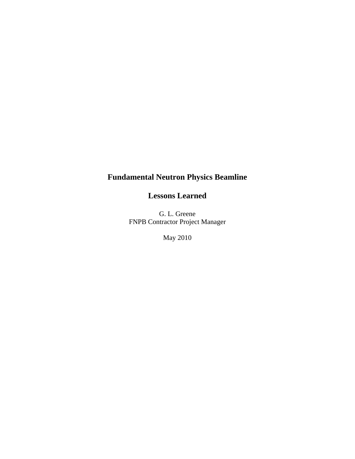# **Fundamental Neutron Physics Beamline**

**Lessons Learned** 

G. L. Greene FNPB Contractor Project Manager

May 2010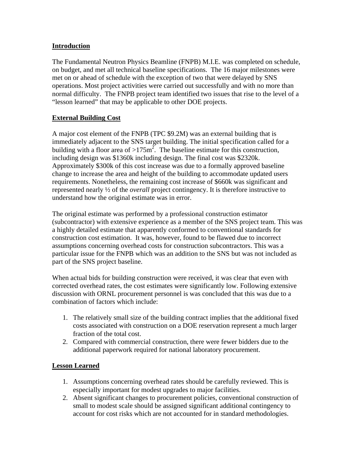### **Introduction**

The Fundamental Neutron Physics Beamline (FNPB) M.I.E. was completed on schedule, on budget, and met all technical baseline specifications. The 16 major milestones were met on or ahead of schedule with the exception of two that were delayed by SNS operations. Most project activities were carried out successfully and with no more than normal difficulty. The FNPB project team identified two issues that rise to the level of a "lesson learned" that may be applicable to other DOE projects.

## **External Building Cost**

A major cost element of the FNPB (TPC \$9.2M) was an external building that is immediately adjacent to the SNS target building. The initial specification called for a building with a floor area of >175 $m^2$ . The baseline estimate for this construction, including design was \$1360k including design. The final cost was \$2320k. Approximately \$300k of this cost increase was due to a formally approved baseline change to increase the area and height of the building to accommodate updated users requirements. Nonetheless, the remaining cost increase of \$660k was significant and represented nearly ½ of the *overall* project contingency. It is therefore instructive to understand how the original estimate was in error.

The original estimate was performed by a professional construction estimator (subcontractor) with extensive experience as a member of the SNS project team. This was a highly detailed estimate that apparently conformed to conventional standards for construction cost estimation. It was, however, found to be flawed due to incorrect assumptions concerning overhead costs for construction subcontractors. This was a particular issue for the FNPB which was an addition to the SNS but was not included as part of the SNS project baseline.

When actual bids for building construction were received, it was clear that even with corrected overhead rates, the cost estimates were significantly low. Following extensive discussion with ORNL procurement personnel is was concluded that this was due to a combination of factors which include:

- 1. The relatively small size of the building contract implies that the additional fixed costs associated with construction on a DOE reservation represent a much larger fraction of the total cost.
- 2. Compared with commercial construction, there were fewer bidders due to the additional paperwork required for national laboratory procurement.

#### **Lesson Learned**

- 1. Assumptions concerning overhead rates should be carefully reviewed. This is especially important for modest upgrades to major facilities.
- 2. Absent significant changes to procurement policies, conventional construction of small to modest scale should be assigned significant additional contingency to account for cost risks which are not accounted for in standard methodologies.